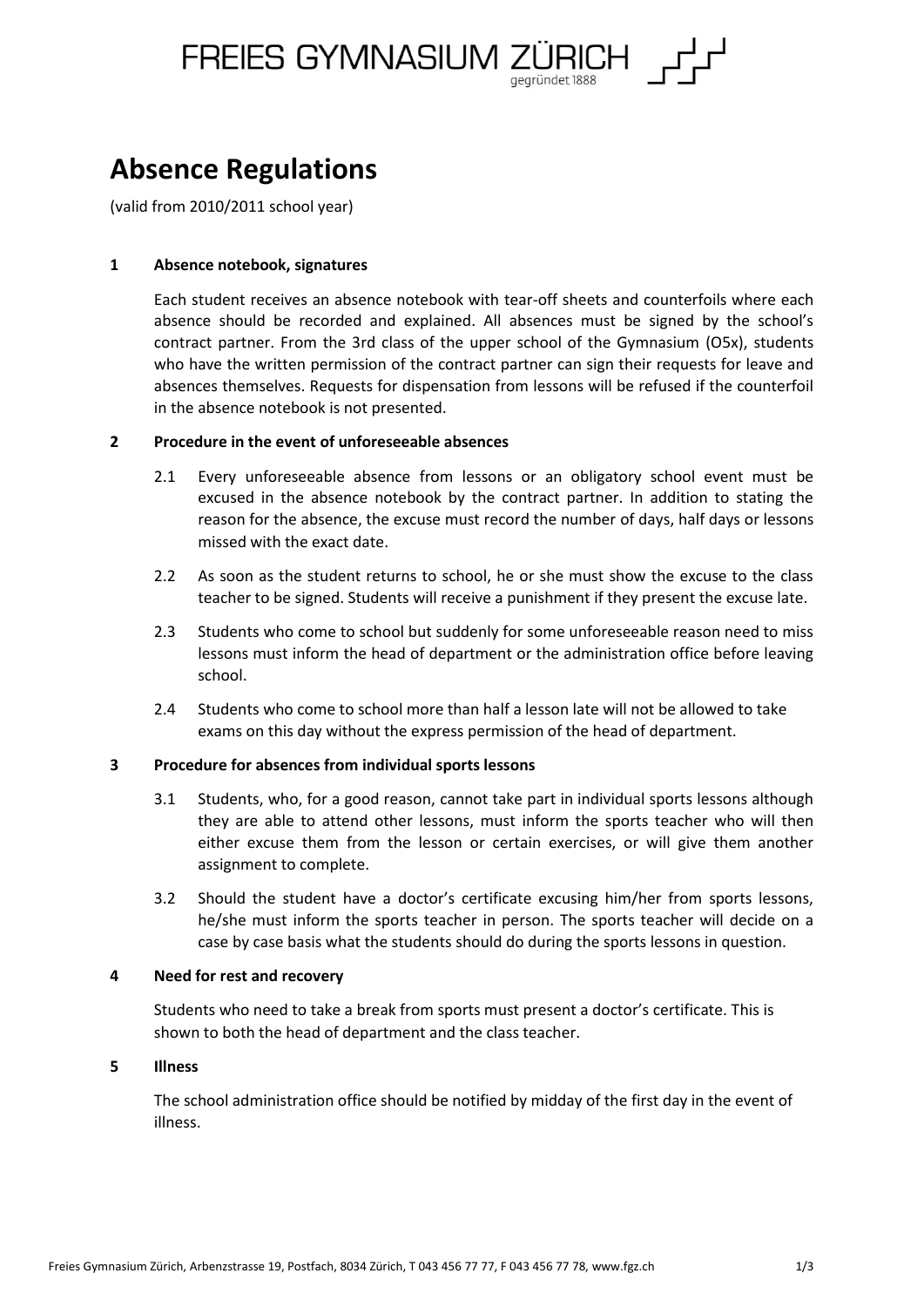FREIES GYMNASIUM ZÜRICH

# **Absence Regulations**

(valid from 2010/2011 school year)

## **1 Absence notebook, signatures**

Each student receives an absence notebook with tear-off sheets and counterfoils where each absence should be recorded and explained. All absences must be signed by the school's contract partner. From the 3rd class of the upper school of the Gymnasium (O5x), students who have the written permission of the contract partner can sign their requests for leave and absences themselves. Requests for dispensation from lessons will be refused if the counterfoil in the absence notebook is not presented.

## **2 Procedure in the event of unforeseeable absences**

- 2.1 Every unforeseeable absence from lessons or an obligatory school event must be excused in the absence notebook by the contract partner. In addition to stating the reason for the absence, the excuse must record the number of days, half days or lessons missed with the exact date.
- 2.2 As soon as the student returns to school, he or she must show the excuse to the class teacher to be signed. Students will receive a punishment if they present the excuse late.
- 2.3 Students who come to school but suddenly for some unforeseeable reason need to miss lessons must inform the head of department or the administration office before leaving school.
- 2.4 Students who come to school more than half a lesson late will not be allowed to take exams on this day without the express permission of the head of department.

## **3 Procedure for absences from individual sports lessons**

- 3.1 Students, who, for a good reason, cannot take part in individual sports lessons although they are able to attend other lessons, must inform the sports teacher who will then either excuse them from the lesson or certain exercises, or will give them another assignment to complete.
- 3.2 Should the student have a doctor's certificate excusing him/her from sports lessons, he/she must inform the sports teacher in person. The sports teacher will decide on a case by case basis what the students should do during the sports lessons in question.

## **4 Need for rest and recovery**

Students who need to take a break from sports must present a doctor's certificate. This is shown to both the head of department and the class teacher.

## **5 Illness**

The school administration office should be notified by midday of the first day in the event of illness.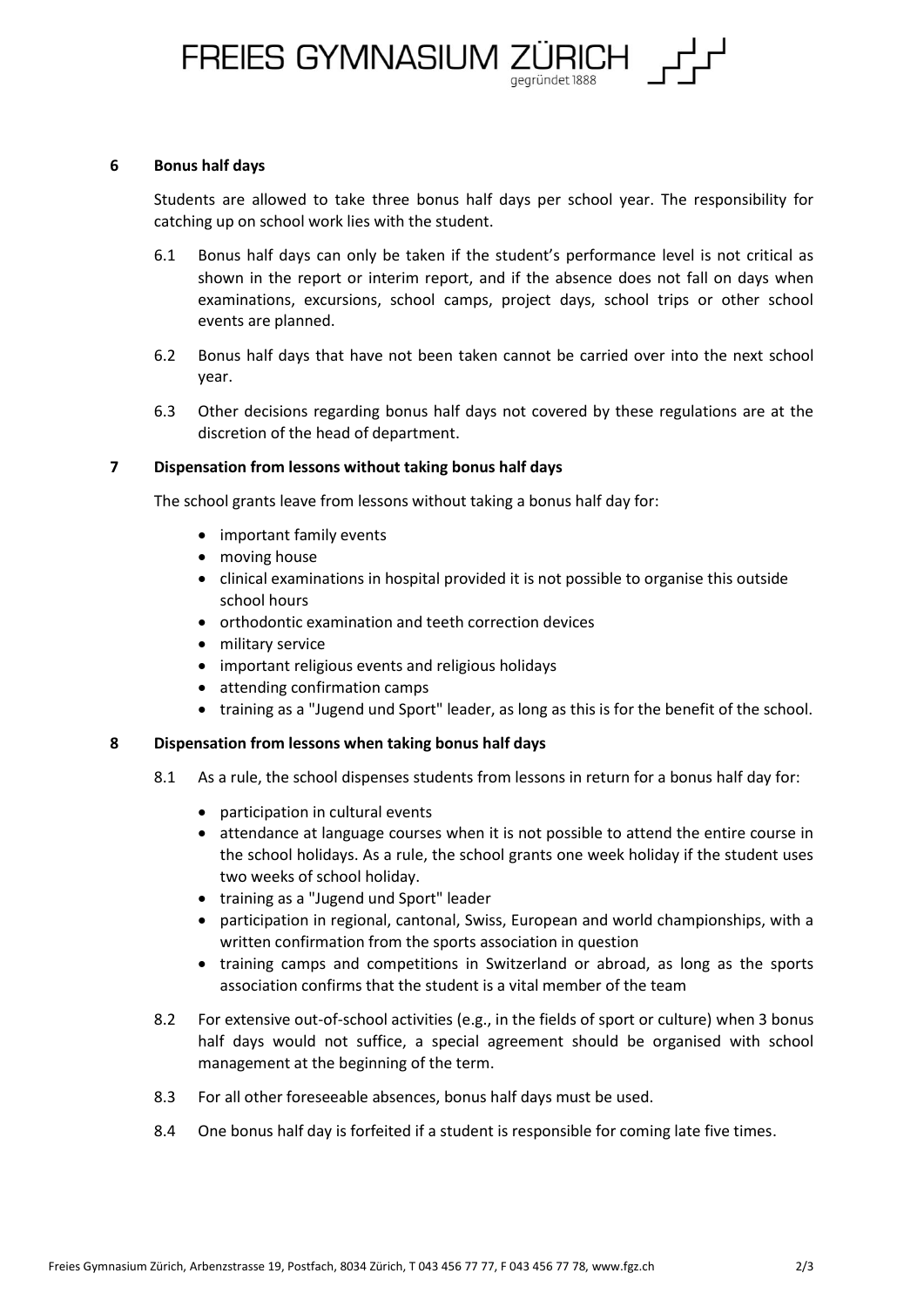FREIES GYMNASIUM ZÜRICH

#### **6 Bonus half days**

Students are allowed to take three bonus half days per school year. The responsibility for catching up on school work lies with the student.

- 6.1 Bonus half days can only be taken if the student's performance level is not critical as shown in the report or interim report, and if the absence does not fall on days when examinations, excursions, school camps, project days, school trips or other school events are planned.
- 6.2 Bonus half days that have not been taken cannot be carried over into the next school year.
- 6.3 Other decisions regarding bonus half days not covered by these regulations are at the discretion of the head of department.

## **7 Dispensation from lessons without taking bonus half days**

The school grants leave from lessons without taking a bonus half day for:

- important family events
- moving house
- clinical examinations in hospital provided it is not possible to organise this outside school hours
- orthodontic examination and teeth correction devices
- military service
- important religious events and religious holidays
- attending confirmation camps
- training as a "Jugend und Sport" leader, as long as this is for the benefit of the school.

#### **8 Dispensation from lessons when taking bonus half days**

- 8.1 As a rule, the school dispenses students from lessons in return for a bonus half day for:
	- participation in cultural events
	- attendance at language courses when it is not possible to attend the entire course in the school holidays. As a rule, the school grants one week holiday if the student uses two weeks of school holiday.
	- training as a "Jugend und Sport" leader
	- participation in regional, cantonal, Swiss, European and world championships, with a written confirmation from the sports association in question
	- training camps and competitions in Switzerland or abroad, as long as the sports association confirms that the student is a vital member of the team
- 8.2 For extensive out-of-school activities (e.g., in the fields of sport or culture) when 3 bonus half days would not suffice, a special agreement should be organised with school management at the beginning of the term.
- 8.3 For all other foreseeable absences, bonus half days must be used.
- 8.4 One bonus half day is forfeited if a student is responsible for coming late five times.